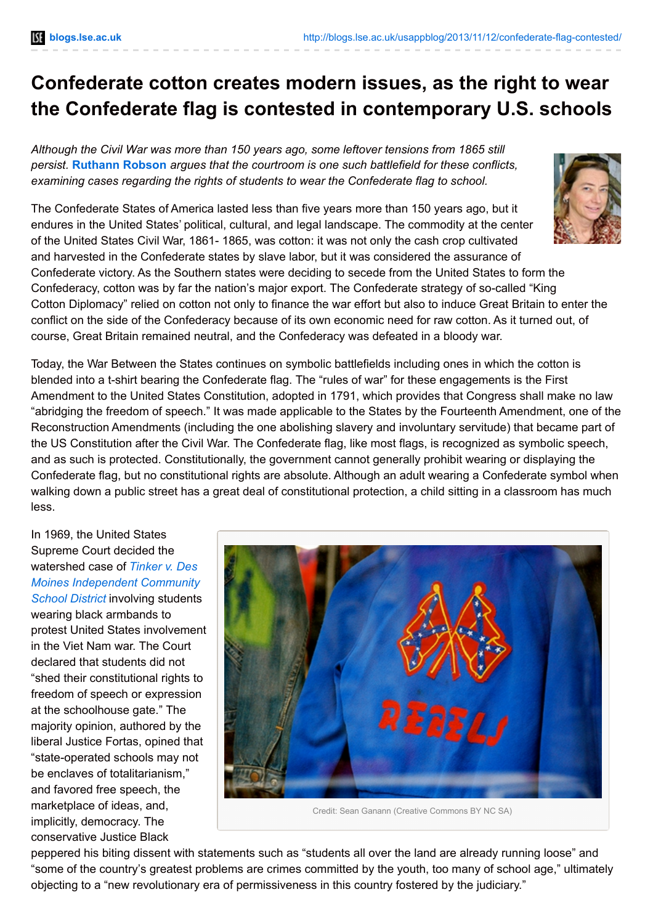## **Confederate cotton creates modern issues, as the right to wear the Confederate flag is contested in contemporary U.S. schools**

*Although the Civil War was more than 150 years ago, some leftover tensions from 1865 still persist.* **[Ruthann](http://wp.me/p3I2YF-B3#Author) Robson** *argues that the courtroom is one such battlefield for these conflicts, examining cases regarding the rights of students to wear the Confederate flag to school.*

The Confederate States of America lasted less than five years more than 150 years ago, but it endures in the United States' political, cultural, and legal landscape. The commodity at the center of the United States Civil War, 1861- 1865, was cotton: it was not only the cash crop cultivated and harvested in the Confederate states by slave labor, but it was considered the assurance of Confederate victory. As the Southern states were deciding to secede from the United States to form the Confederacy, cotton was by far the nation's major export. The Confederate strategy of so-called "King Cotton Diplomacy" relied on cotton not only to finance the war effort but also to induce Great Britain to enter the conflict on the side of the Confederacy because of its own economic need for raw cotton. As it turned out, of course, Great Britain remained neutral, and the Confederacy was defeated in a bloody war.

Today, the War Between the States continues on symbolic battlefields including ones in which the cotton is blended into a t-shirt bearing the Confederate flag. The "rules of war" for these engagements is the First Amendment to the United States Constitution, adopted in 1791, which provides that Congress shall make no law "abridging the freedom of speech." It was made applicable to the States by the Fourteenth Amendment, one of the Reconstruction Amendments (including the one abolishing slavery and involuntary servitude) that became part of the US Constitution after the Civil War. The Confederate flag, like most flags, is recognized as symbolic speech, and as such is protected. Constitutionally, the government cannot generally prohibit wearing or displaying the Confederate flag, but no constitutional rights are absolute. Although an adult wearing a Confederate symbol when walking down a public street has a great deal of constitutional protection, a child sitting in a classroom has much less.

In 1969, the United States Supreme Court decided the watershed case of *Tinker v. Des Moines [Independent](http://caselaw.lp.findlaw.com/scripts/getcase.pl?court=US&vol=393&invol=503) Community School District* involving students wearing black armbands to protest United States involvement in the Viet Nam war. The Court declared that students did not "shed their constitutional rights to freedom of speech or expression at the schoolhouse gate." The majority opinion, authored by the liberal Justice Fortas, opined that "state-operated schools may not be enclaves of totalitarianism," and favored free speech, the marketplace of ideas, and, implicitly, democracy. The conservative Justice Black



Credit: Sean Ganann (Creative Commons BY NC SA)

peppered his biting dissent with statements such as "students all over the land are already running loose" and "some of the country's greatest problems are crimes committed by the youth, too many of school age," ultimately objecting to a "new revolutionary era of permissiveness in this country fostered by the judiciary."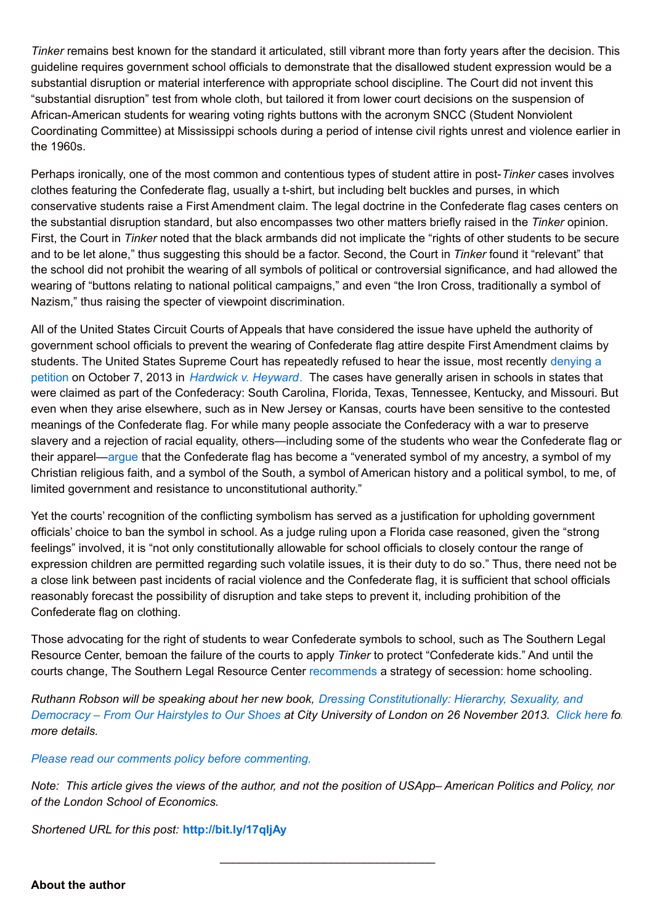*Tinker* remains best known for the standard it articulated, still vibrant more than forty years after the decision. This guideline requires government school officials to demonstrate that the disallowed student expression would be a substantial disruption or material interference with appropriate school discipline. The Court did not invent this "substantial disruption" test from whole cloth, but tailored it from lower court decisions on the suspension of African-American students for wearing voting rights buttons with the acronym SNCC (Student Nonviolent Coordinating Committee) at Mississippi schools during a period of intense civil rights unrest and violence earlier in the 1960s.

Perhaps ironically, one of the most common and contentious types of student attire in post-*Tinker* cases involves clothes featuring the Confederate flag, usually a t-shirt, but including belt buckles and purses, in which conservative students raise a First Amendment claim. The legal doctrine in the Confederate flag cases centers on the substantial disruption standard, but also encompasses two other matters briefly raised in the *Tinker* opinion. First, the Court in *Tinker* noted that the black armbands did not implicate the "rights of other students to be secure and to be let alone," thus suggesting this should be a factor. Second, the Court in *Tinker* found it "relevant" that the school did not prohibit the wearing of all symbols of political or controversial significance, and had allowed the wearing of "buttons relating to national political campaigns," and even "the Iron Cross, traditionally a symbol of Nazism," thus raising the specter of viewpoint discrimination.

All of the United States Circuit Courts of Appeals that have considered the issue have upheld the authority of government school officials to prevent the wearing of Confederate flag attire despite First Amendment claims by students. The United States Supreme Court has [repeatedly](http://www.law.cornell.edu/supct/html/100713zor.html) refused to hear the issue, most recently denying a petition on October 7, 2013 in *[Hardwick](http://www.dressingconstitutionally.com/2013/05/30/confederate-flag-attire-school-dress-code/) v. Heyward*. The cases have generally arisen in schools in states that were claimed as part of the Confederacy: South Carolina, Florida, Texas, Tennessee, Kentucky, and Missouri. But even when they arise elsewhere, such as in New Jersey or Kansas, courts have been sensitive to the contested meanings of the Confederate flag. For while many people associate the Confederacy with a war to preserve slavery and a rejection of racial equality, others—including some of the students who wear the Confederate flag on their apparel[—argue](http://caselaw.findlaw.com/us-5th-circuit/1499168.html) that the Confederate flag has become a "venerated symbol of my ancestry, a symbol of my Christian religious faith, and a symbol of the South, a symbol of American history and a political symbol, to me, of limited government and resistance to unconstitutional authority."

Yet the courts' recognition of the conflicting symbolism has served as a justification for upholding government officials' choice to ban the symbol in school. As a judge ruling upon a Florida case reasoned, given the "strong feelings" involved, it is "not only constitutionally allowable for school officials to closely contour the range of expression children are permitted regarding such volatile issues, it is their duty to do so." Thus, there need not be a close link between past incidents of racial violence and the Confederate flag, it is sufficient that school officials reasonably forecast the possibility of disruption and take steps to prevent it, including prohibition of the Confederate flag on clothing.

Those advocating for the right of students to wear Confederate symbols to school, such as The Southern Legal Resource Center, bemoan the failure of the courts to apply *Tinker* to protect "Confederate kids." And until the courts change, The Southern Legal Resource Center [recommends](https://slrc-csa.org/to-confederate-families-want-your-students-heritage-respected-homeschool/) a strategy of secession: home schooling.

*Ruthann Robson will be speaking about her new book, Dressing [Constitutionally:](http://www.dressingconstitutionally.com/) Hierarchy, Sexuality, and* Democracy – From Our Hairstyles to Our Shoes at City University of London on 26 November 2013. [Click](http://www.city.ac.uk/events/2013/november/dressing-constitutionally-hierarchy,-sexuality-and-democracy...-from-our-hairstyles-to-our-shoes) here for *more details.*

## *Please read our comments policy before [commenting.](http://blogs.lse.ac.uk/usappblog/comments-policy/)*

Note: This article gives the views of the author, and not the position of USApp-American Politics and Policy, nor *of the London School of Economics.*

\_\_\_\_\_\_\_\_\_\_\_\_\_\_\_\_\_\_\_\_\_\_\_\_\_\_\_\_\_\_\_\_\_

*Shortened URL for this post:* **<http://bit.ly/17qIjAy>**